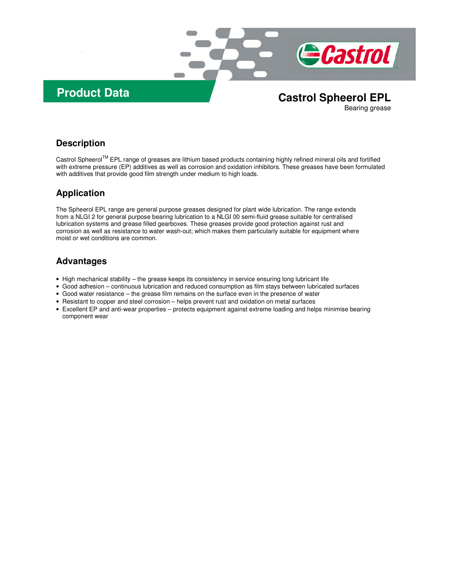

# **Product Data Castrol Spheerol EPL**

Bearing grease

#### **Description**

Castrol Spheerol TM EPL range of greases are lithium based products containing highly refined mineral oils and fortified with extreme pressure (EP) additives as well as corrosion and oxidation inhibitors. These greases have been formulated with additives that provide good film strength under medium to high loads.

# **Application**

The Spheerol EPL range are general purpose greases designed for plant wide lubrication. The range extends from a NLGI 2 for general purpose bearing lubrication to a NLGI 00 semi-fluid grease suitable for centralised lubrication systems and grease filled gearboxes. These greases provide good protection against rust and corrosion as well as resistance to water wash-out; which makes them particularly suitable for equipment where moist or wet conditions are common.

# **Advantages**

- High mechanical stability the grease keeps its consistency in service ensuring long lubricant life
- Good adhesion continuous lubrication and reduced consumption as film stays between lubricated surfaces
- Good water resistance the grease film remains on the surface even in the presence of water
- Resistant to copper and steel corrosion helps prevent rust and oxidation on metal surfaces
- Excellent EP and anti-wear properties protects equipment against extreme loading and helps minimise bearing component wear